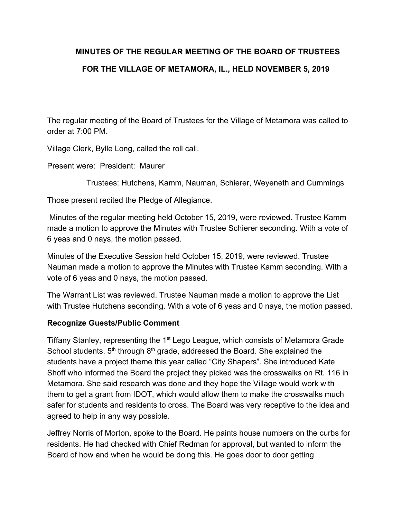# **MINUTES OF THE REGULAR MEETING OF THE BOARD OF TRUSTEES FOR THE VILLAGE OF METAMORA, IL., HELD NOVEMBER 5, 2019**

The regular meeting of the Board of Trustees for the Village of Metamora was called to order at 7:00 PM.

Village Clerk, Bylle Long, called the roll call.

Present were: President: Maurer

Trustees: Hutchens, Kamm, Nauman, Schierer, Weyeneth and Cummings

Those present recited the Pledge of Allegiance.

 Minutes of the regular meeting held October 15, 2019, were reviewed. Trustee Kamm made a motion to approve the Minutes with Trustee Schierer seconding. With a vote of 6 yeas and 0 nays, the motion passed.

Minutes of the Executive Session held October 15, 2019, were reviewed. Trustee Nauman made a motion to approve the Minutes with Trustee Kamm seconding. With a vote of 6 yeas and 0 nays, the motion passed.

The Warrant List was reviewed. Trustee Nauman made a motion to approve the List with Trustee Hutchens seconding. With a vote of 6 yeas and 0 nays, the motion passed.

## **Recognize Guests/Public Comment**

Tiffany Stanley, representing the 1<sup>st</sup> Lego League, which consists of Metamora Grade School students,  $5<sup>th</sup>$  through  $8<sup>th</sup>$  grade, addressed the Board. She explained the students have a project theme this year called "City Shapers". She introduced Kate Shoff who informed the Board the project they picked was the crosswalks on Rt. 116 in Metamora. She said research was done and they hope the Village would work with them to get a grant from IDOT, which would allow them to make the crosswalks much safer for students and residents to cross. The Board was very receptive to the idea and agreed to help in any way possible.

Jeffrey Norris of Morton, spoke to the Board. He paints house numbers on the curbs for residents. He had checked with Chief Redman for approval, but wanted to inform the Board of how and when he would be doing this. He goes door to door getting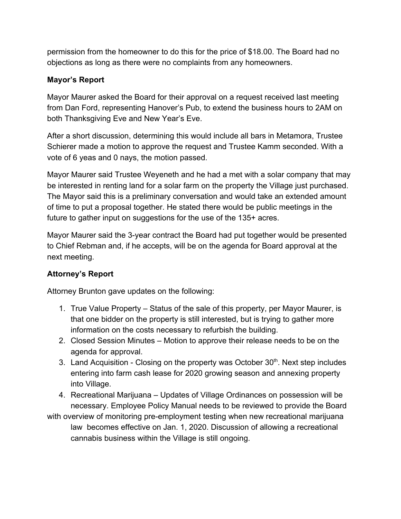permission from the homeowner to do this for the price of \$18.00. The Board had no objections as long as there were no complaints from any homeowners.

# **Mayor's Report**

Mayor Maurer asked the Board for their approval on a request received last meeting from Dan Ford, representing Hanover's Pub, to extend the business hours to 2AM on both Thanksgiving Eve and New Year's Eve.

After a short discussion, determining this would include all bars in Metamora, Trustee Schierer made a motion to approve the request and Trustee Kamm seconded. With a vote of 6 yeas and 0 nays, the motion passed.

Mayor Maurer said Trustee Weyeneth and he had a met with a solar company that may be interested in renting land for a solar farm on the property the Village just purchased. The Mayor said this is a preliminary conversation and would take an extended amount of time to put a proposal together. He stated there would be public meetings in the future to gather input on suggestions for the use of the 135+ acres.

Mayor Maurer said the 3-year contract the Board had put together would be presented to Chief Rebman and, if he accepts, will be on the agenda for Board approval at the next meeting.

# **Attorney's Report**

Attorney Brunton gave updates on the following:

- 1. True Value Property Status of the sale of this property, per Mayor Maurer, is that one bidder on the property is still interested, but is trying to gather more information on the costs necessary to refurbish the building.
- 2. Closed Session Minutes Motion to approve their release needs to be on the agenda for approval.
- 3. Land Acquisition Closing on the property was October  $30<sup>th</sup>$ . Next step includes entering into farm cash lease for 2020 growing season and annexing property into Village.
- 4. Recreational Marijuana Updates of Village Ordinances on possession will be necessary. Employee Policy Manual needs to be reviewed to provide the Board
- with overview of monitoring pre-employment testing when new recreational marijuana law becomes effective on Jan. 1, 2020. Discussion of allowing a recreational cannabis business within the Village is still ongoing.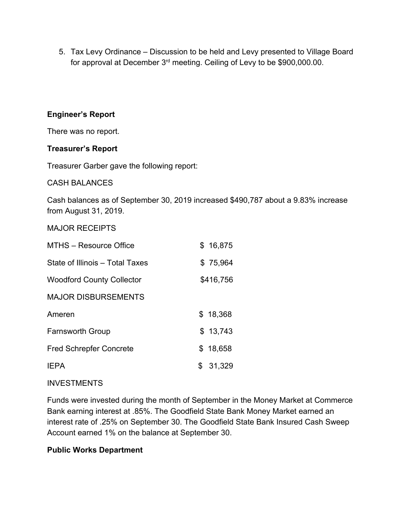5. Tax Levy Ordinance – Discussion to be held and Levy presented to Village Board for approval at December 3<sup>rd</sup> meeting. Ceiling of Levy to be \$900,000.00.

## **Engineer's Report**

There was no report.

## **Treasurer's Report**

Treasurer Garber gave the following report:

#### CASH BALANCES

Cash balances as of September 30, 2019 increased \$490,787 about a 9.83% increase from August 31, 2019.

#### MAJOR RECEIPTS

| MTHS - Resource Office           | \$16,875  |
|----------------------------------|-----------|
| State of Illinois – Total Taxes  | \$75,964  |
| <b>Woodford County Collector</b> | \$416,756 |
| <b>MAJOR DISBURSEMENTS</b>       |           |
| Ameren                           | \$18,368  |
| <b>Farnsworth Group</b>          | \$13,743  |
| <b>Fred Schrepfer Concrete</b>   | \$18,658  |
| <b>IFPA</b>                      | \$31,329  |

#### INVESTMENTS

Funds were invested during the month of September in the Money Market at Commerce Bank earning interest at .85%. The Goodfield State Bank Money Market earned an interest rate of .25% on September 30. The Goodfield State Bank Insured Cash Sweep Account earned 1% on the balance at September 30.

## **Public Works Department**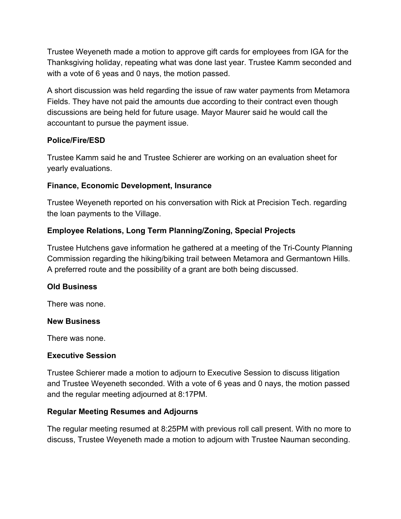Trustee Weyeneth made a motion to approve gift cards for employees from IGA for the Thanksgiving holiday, repeating what was done last year. Trustee Kamm seconded and with a vote of 6 yeas and 0 nays, the motion passed.

A short discussion was held regarding the issue of raw water payments from Metamora Fields. They have not paid the amounts due according to their contract even though discussions are being held for future usage. Mayor Maurer said he would call the accountant to pursue the payment issue.

## **Police/Fire/ESD**

Trustee Kamm said he and Trustee Schierer are working on an evaluation sheet for yearly evaluations.

## **Finance, Economic Development, Insurance**

Trustee Weyeneth reported on his conversation with Rick at Precision Tech. regarding the loan payments to the Village.

## **Employee Relations, Long Term Planning/Zoning, Special Projects**

Trustee Hutchens gave information he gathered at a meeting of the Tri-County Planning Commission regarding the hiking/biking trail between Metamora and Germantown Hills. A preferred route and the possibility of a grant are both being discussed.

## **Old Business**

There was none.

#### **New Business**

There was none.

## **Executive Session**

Trustee Schierer made a motion to adjourn to Executive Session to discuss litigation and Trustee Weyeneth seconded. With a vote of 6 yeas and 0 nays, the motion passed and the regular meeting adjourned at 8:17PM.

## **Regular Meeting Resumes and Adjourns**

The regular meeting resumed at 8:25PM with previous roll call present. With no more to discuss, Trustee Weyeneth made a motion to adjourn with Trustee Nauman seconding.